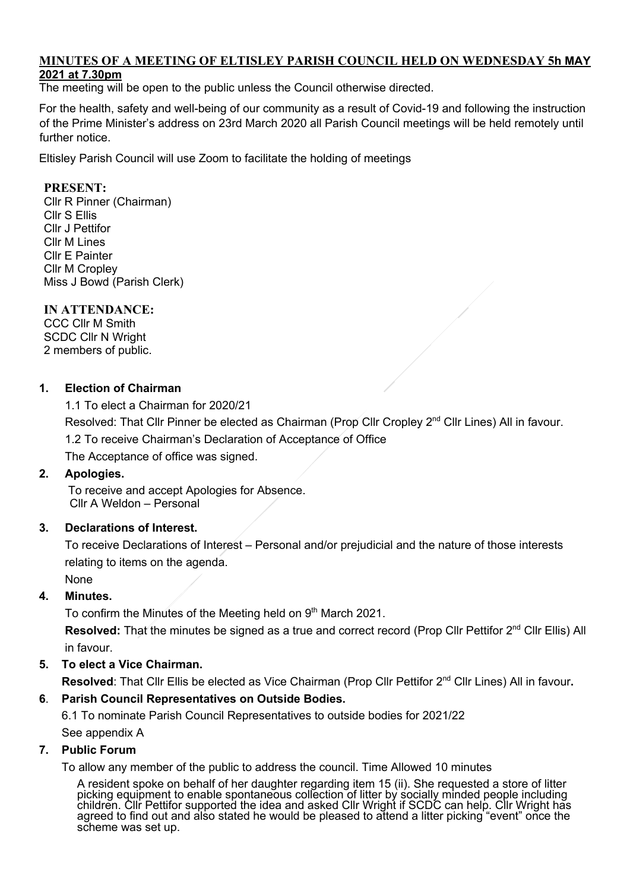#### **MINUTES OF A MEETING OF ELTISLEY PARISH COUNCIL HELD ON WEDNESDAY 5h MAY 2021 at 7.30pm**

The meeting will be open to the public unless the Council otherwise directed.

For the health, safety and well-being of our community as a result of Covid-19 and following the instruction of the Prime Minister's address on 23rd March 2020 all Parish Council meetings will be held remotely until further notice.

Eltisley Parish Council will use Zoom to facilitate the holding of meetings

## **PRESENT:**

Cllr R Pinner (Chairman) Cllr S Ellis Cllr J Pettifor Cllr M Lines Cllr E Painter Cllr M Cropley Miss J Bowd (Parish Clerk)

## **IN ATTENDANCE:**

CCC Cllr M Smith SCDC Cllr N Wright 2 members of public.

## **1. Election of Chairman**

1.1 To elect a Chairman for 2020/21

Resolved: That Cllr Pinner be elected as Chairman (Prop Cllr Cropley 2<sup>nd</sup> Cllr Lines) All in favour.

1.2 To receive Chairman's Declaration of Acceptance of Office

The Acceptance of office was signed.

#### **2. Apologies.**

 To receive and accept Apologies for Absence. Cllr A Weldon – Personal

# **3. Declarations of Interest.**

 To receive Declarations of Interest – Personal and/or prejudicial and the nature of those interests relating to items on the agenda.

None

# **4. Minutes.**

To confirm the Minutes of the Meeting held on 9<sup>th</sup> March 2021.

Resolved: That the minutes be signed as a true and correct record (Prop Cllr Pettifor 2<sup>nd</sup> Cllr Ellis) All in favour.

# **5. To elect a Vice Chairman.**

**Resolved**: That Cllr Ellis be elected as Vice Chairman (Prop Cllr Pettifor 2nd Cllr Lines) All in favour**.**

# **6**. **Parish Council Representatives on Outside Bodies.**

6.1 To nominate Parish Council Representatives to outside bodies for 2021/22

See appendix A

#### **7. Public Forum**

To allow any member of the public to address the council. Time Allowed 10 minutes

A resident spoke on behalf of her daughter regarding item 15 (ii). She requested a store of litter picking equipment to enable spontaneous collection of litter by socially minded people including children. Cllr Pettifor supported the idea and asked Cllr Wright if SCDC can help. Cllr Wright has<br>agreed to find out and also stated he would be pleased to attend a litter picking "event" once the scheme was set up.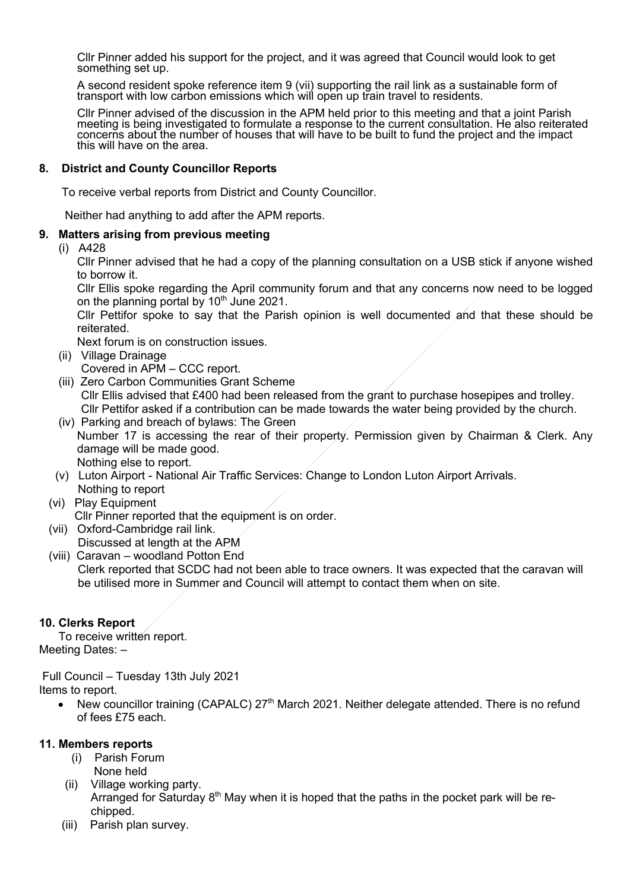Cllr Pinner added his support for the project, and it was agreed that Council would look to get something set up.

A second resident spoke reference item 9 (vii) supporting the rail link as a sustainable form of transport with low carbon emissions which will open up train travel to residents.

Cllr Pinner advised of the discussion in the APM held prior to this meeting and that a joint Parish meeting is being investigated to formulate a response to the current consultation. He also reiterated concerns about the number of houses that will have to be built to fund the project and the impact this will have on the area.

#### **8. District and County Councillor Reports**

To receive verbal reports from District and County Councillor.

Neither had anything to add after the APM reports.

#### **9. Matters arising from previous meeting**

(i) A428

Cllr Pinner advised that he had a copy of the planning consultation on a USB stick if anyone wished to borrow it.

Cllr Ellis spoke regarding the April community forum and that any concerns now need to be logged on the planning portal by  $10<sup>th</sup>$  June 2021.

Cllr Pettifor spoke to say that the Parish opinion is well documented and that these should be reiterated.

Next forum is on construction issues.

- (ii) Village Drainage Covered in APM – CCC report.
- (iii) Zero Carbon Communities Grant Scheme Cllr Ellis advised that £400 had been released from the grant to purchase hosepipes and trolley. Cllr Pettifor asked if a contribution can be made towards the water being provided by the church.
- (iv) Parking and breach of bylaws: The Green Number 17 is accessing the rear of their property. Permission given by Chairman & Clerk. Any damage will be made good. Nothing else to report.
- (v) Luton Airport National Air Traffic Services: Change to London Luton Airport Arrivals. Nothing to report
- (vi) Play Equipment
- Cllr Pinner reported that the equipment is on order.
- (vii) Oxford-Cambridge rail link. Discussed at length at the APM
- (viii) Caravan woodland Potton End Clerk reported that SCDC had not been able to trace owners. It was expected that the caravan will be utilised more in Summer and Council will attempt to contact them when on site.

#### **10. Clerks Report**

To receive written report. Meeting Dates: –

Full Council – Tuesday 13th July 2021 Items to report.

New councillor training (CAPALC) 27<sup>th</sup> March 2021. Neither delegate attended. There is no refund of fees £75 each.

#### **11. Members reports**

- (i) Parish Forum None held
- (ii) Village working party. Arranged for Saturday  $8<sup>th</sup>$  May when it is hoped that the paths in the pocket park will be rechipped.
- (iii) Parish plan survey.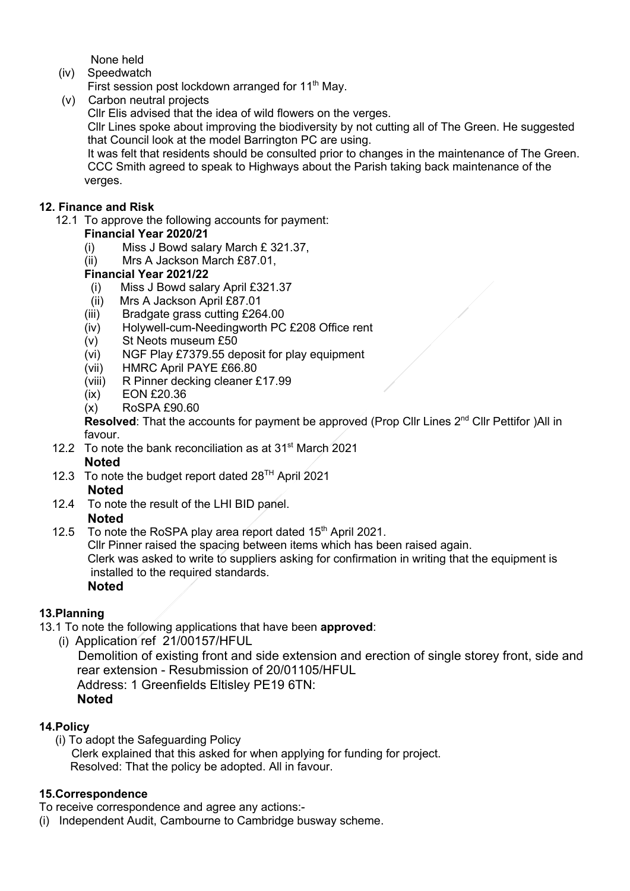None held

(iv) Speedwatch

First session post lockdown arranged for 11<sup>th</sup> May.

(v) Carbon neutral projects

Cllr Elis advised that the idea of wild flowers on the verges.

 Cllr Lines spoke about improving the biodiversity by not cutting all of The Green. He suggested that Council look at the model Barrington PC are using.

 It was felt that residents should be consulted prior to changes in the maintenance of The Green. CCC Smith agreed to speak to Highways about the Parish taking back maintenance of the verges.

# **12. Finance and Risk**

12.1 To approve the following accounts for payment:

# **Financial Year 2020/21**

- (i) Miss J Bowd salary March £ 321.37,
- (ii) Mrs A Jackson March £87.01,

# **Financial Year 2021/22**

- (i) Miss J Bowd salary April £321.37
- (ii) Mrs A Jackson April £87.01
- (iii) Bradgate grass cutting £264.00
- (iv) Holywell-cum-Needingworth PC £208 Office rent
- (v) St Neots museum £50
- (vi) NGF Play £7379.55 deposit for play equipment
- (vii) HMRC April PAYE £66.80
- (viii) R Pinner decking cleaner £17.99
- (ix) EON £20.36
- (x) RoSPA £90.60

**Resolved**: That the accounts for payment be approved (Prop Cllr Lines 2<sup>nd</sup> Cllr Pettifor )All in favour.

- 12.2 To note the bank reconciliation as at  $31<sup>st</sup>$  March 2021 **Noted**
- 12.3 To note the budget report dated  $28<sup>TH</sup>$  April 2021 **Noted**
- 12.4 To note the result of the LHI BID panel. **Noted**
- 12.5 To note the RoSPA play area report dated  $15<sup>th</sup>$  April 2021. Cllr Pinner raised the spacing between items which has been raised again. Clerk was asked to write to suppliers asking for confirmation in writing that the equipment is

installed to the required standards.

# **Noted**

# **13.Planning**

- 13.1 To note the following applications that have been **approved**:
	- (i) Application ref 21/00157/HFUL

Demolition of existing front and side extension and erection of single storey front, side and rear extension - Resubmission of 20/01105/HFUL

Address: 1 Greenfields Eltisley PE19 6TN: **Noted**

# **14.Policy**

(i) To adopt the Safeguarding Policy Clerk explained that this asked for when applying for funding for project. Resolved: That the policy be adopted. All in favour.

# **15.Correspondence**

- To receive correspondence and agree any actions:-
- (i) Independent Audit, Cambourne to Cambridge busway scheme.